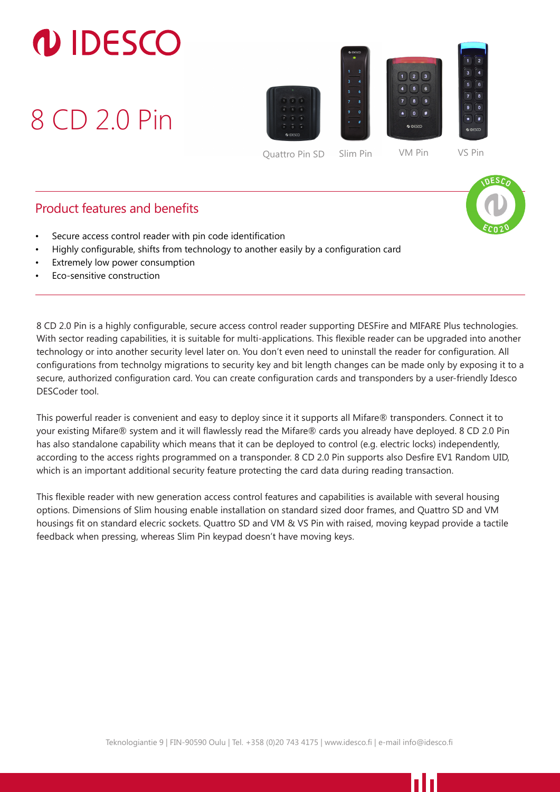## **DIDESCO**

8 CD 2.0 Pin





1 I I

## Product features and benefits

- Secure access control reader with pin code identification
- Highly configurable, shifts from technology to another easily by a configuration card
- Extremely low power consumption
- Eco-sensitive construction

With sector reading capabilities, it is suitable for multi-applications. This flexible reader can be upgraded into another 8 CD 2.0 Pin is a highly configurable, secure access control reader supporting DESFire and MIFARE Plus technologies. technology or into another security level later on. You don't even need to uninstall the reader for configuration. All configurations from technolgy migrations to security key and bit length changes can be made only by exposing it to a secure, authorized configuration card. You can create configuration cards and transponders by a user-friendly Idesco DESCoder tool.

This powerful reader is convenient and easy to deploy since it it supports all Mifare® transponders. Connect it to your existing Mifare® system and it will flawlessly read the Mifare® cards you already have deployed. 8 CD 2.0 Pin has also standalone capability which means that it can be deployed to control (e.g. electric locks) independently, according to the access rights programmed on a transponder. 8 CD 2.0 Pin supports also Desfire EV1 Random UID, which is an important additional security feature protecting the card data during reading transaction.

This flexible reader with new generation access control features and capabilities is available with several housing options. Dimensions of Slim housing enable installation on standard sized door frames, and Quattro SD and VM housings fit on standard elecric sockets. Quattro SD and VM & VS Pin with raised, moving keypad provide a tactile feedback when pressing, whereas Slim Pin keypad doesn't have moving keys.

Teknologiantie 9 | FIN-90590 Oulu | Tel. +358 (0)20 743 4175 | www.idesco.fi | e-mail info@idesco.fi